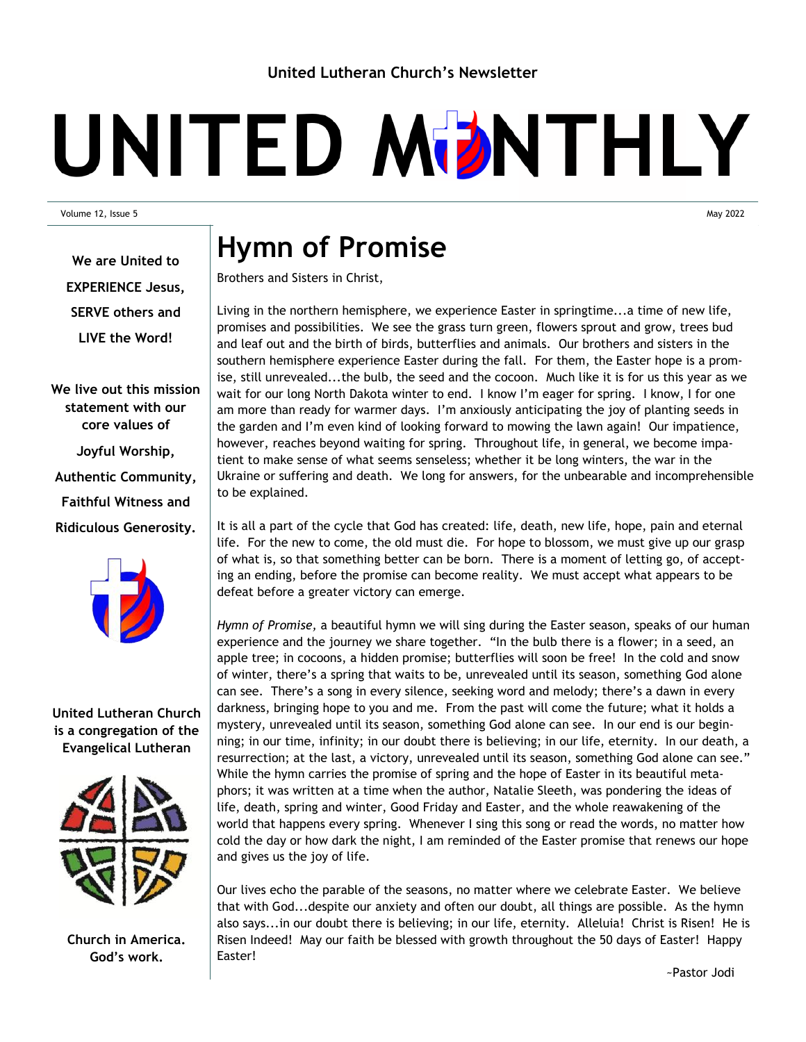# UNITED MDNTHLY

Volume 12, Issue 5 May 2022

**We are United to EXPERIENCE Jesus, SERVE others and LIVE the Word!**

**We live out this mission statement with our core values of Joyful Worship, Authentic Community, Faithful Witness and Ridiculous Generosity.**



### **United Lutheran Church is a congregation of the Evangelical Lutheran**



**Church in America. God's work.**

### **Hymn of Promise**

Brothers and Sisters in Christ,

Living in the northern hemisphere, we experience Easter in springtime...a time of new life, promises and possibilities. We see the grass turn green, flowers sprout and grow, trees bud and leaf out and the birth of birds, butterflies and animals. Our brothers and sisters in the southern hemisphere experience Easter during the fall. For them, the Easter hope is a promise, still unrevealed...the bulb, the seed and the cocoon. Much like it is for us this year as we wait for our long North Dakota winter to end. I know I'm eager for spring. I know, I for one am more than ready for warmer days. I'm anxiously anticipating the joy of planting seeds in the garden and I'm even kind of looking forward to mowing the lawn again! Our impatience, however, reaches beyond waiting for spring. Throughout life, in general, we become impatient to make sense of what seems senseless; whether it be long winters, the war in the Ukraine or suffering and death. We long for answers, for the unbearable and incomprehensible to be explained.

It is all a part of the cycle that God has created: life, death, new life, hope, pain and eternal life. For the new to come, the old must die. For hope to blossom, we must give up our grasp of what is, so that something better can be born. There is a moment of letting go, of accepting an ending, before the promise can become reality. We must accept what appears to be defeat before a greater victory can emerge.

*Hymn of Promise,* a beautiful hymn we will sing during the Easter season, speaks of our human experience and the journey we share together. "In the bulb there is a flower; in a seed, an apple tree; in cocoons, a hidden promise; butterflies will soon be free! In the cold and snow of winter, there's a spring that waits to be, unrevealed until its season, something God alone can see. There's a song in every silence, seeking word and melody; there's a dawn in every darkness, bringing hope to you and me. From the past will come the future; what it holds a mystery, unrevealed until its season, something God alone can see. In our end is our beginning; in our time, infinity; in our doubt there is believing; in our life, eternity. In our death, a resurrection; at the last, a victory, unrevealed until its season, something God alone can see." While the hymn carries the promise of spring and the hope of Easter in its beautiful metaphors; it was written at a time when the author, Natalie Sleeth, was pondering the ideas of life, death, spring and winter, Good Friday and Easter, and the whole reawakening of the world that happens every spring. Whenever I sing this song or read the words, no matter how cold the day or how dark the night, I am reminded of the Easter promise that renews our hope and gives us the joy of life.

Our lives echo the parable of the seasons, no matter where we celebrate Easter. We believe that with God...despite our anxiety and often our doubt, all things are possible. As the hymn also says...in our doubt there is believing; in our life, eternity. Alleluia! Christ is Risen! He is Risen Indeed! May our faith be blessed with growth throughout the 50 days of Easter! Happy Easter!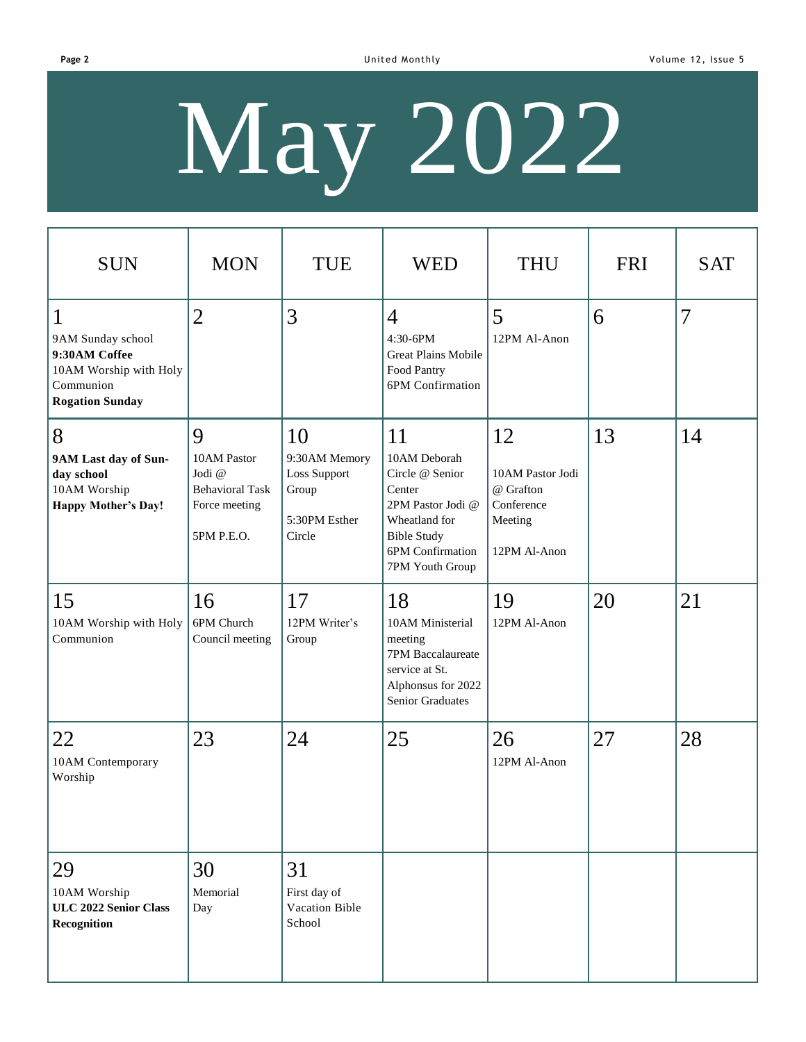**Page 2** Communication of Communication Communication Communication Communication Communication Communication Communication Communication Communication Communication Communication Communication Communication Communication

# May 2022

| <b>SUN</b>                                                                                                          | <b>MON</b>                                                                          | <b>TUE</b>                                                              | <b>WED</b>                                                                                                                                         | <b>THU</b>                                                                   | <b>FRI</b> | <b>SAT</b>     |
|---------------------------------------------------------------------------------------------------------------------|-------------------------------------------------------------------------------------|-------------------------------------------------------------------------|----------------------------------------------------------------------------------------------------------------------------------------------------|------------------------------------------------------------------------------|------------|----------------|
| $\mathbf{1}$<br>9AM Sunday school<br>9:30AM Coffee<br>10AM Worship with Holy<br>Communion<br><b>Rogation Sunday</b> | $\overline{2}$                                                                      | 3                                                                       | $\overline{4}$<br>4:30-6PM<br><b>Great Plains Mobile</b><br>Food Pantry<br>6PM Confirmation                                                        | 5<br>12PM Al-Anon                                                            | 6          | $\overline{7}$ |
| 8<br>9AM Last day of Sun-<br>day school<br>10AM Worship<br><b>Happy Mother's Day!</b>                               | 9<br>10AM Pastor<br>Jodi @<br><b>Behavioral Task</b><br>Force meeting<br>5PM P.E.O. | 10<br>9:30AM Memory<br>Loss Support<br>Group<br>5:30PM Esther<br>Circle | 11<br>10AM Deborah<br>Circle @ Senior<br>Center<br>2PM Pastor Jodi @<br>Wheatland for<br><b>Bible Study</b><br>6PM Confirmation<br>7PM Youth Group | 12<br>10AM Pastor Jodi<br>@ Grafton<br>Conference<br>Meeting<br>12PM Al-Anon | 13         | 14             |
| 15<br>10AM Worship with Holy<br>Communion                                                                           | 16<br>6PM Church<br>Council meeting                                                 | 17<br>12PM Writer's<br>Group                                            | 18<br>10AM Ministerial<br>meeting<br>7PM Baccalaureate<br>service at St.<br>Alphonsus for 2022<br><b>Senior Graduates</b>                          | 19<br>12PM Al-Anon                                                           | 20         | 21             |
| 22<br>10AM Contemporary<br>Worship                                                                                  | 23                                                                                  | 24                                                                      | 25                                                                                                                                                 | 26<br>12PM Al-Anon                                                           | 27         | 28             |
| 29<br>10AM Worship<br>ULC 2022 Senior Class<br>Recognition                                                          | 30<br>Memorial<br>Day                                                               | 31<br>First day of<br>Vacation Bible<br>School                          |                                                                                                                                                    |                                                                              |            |                |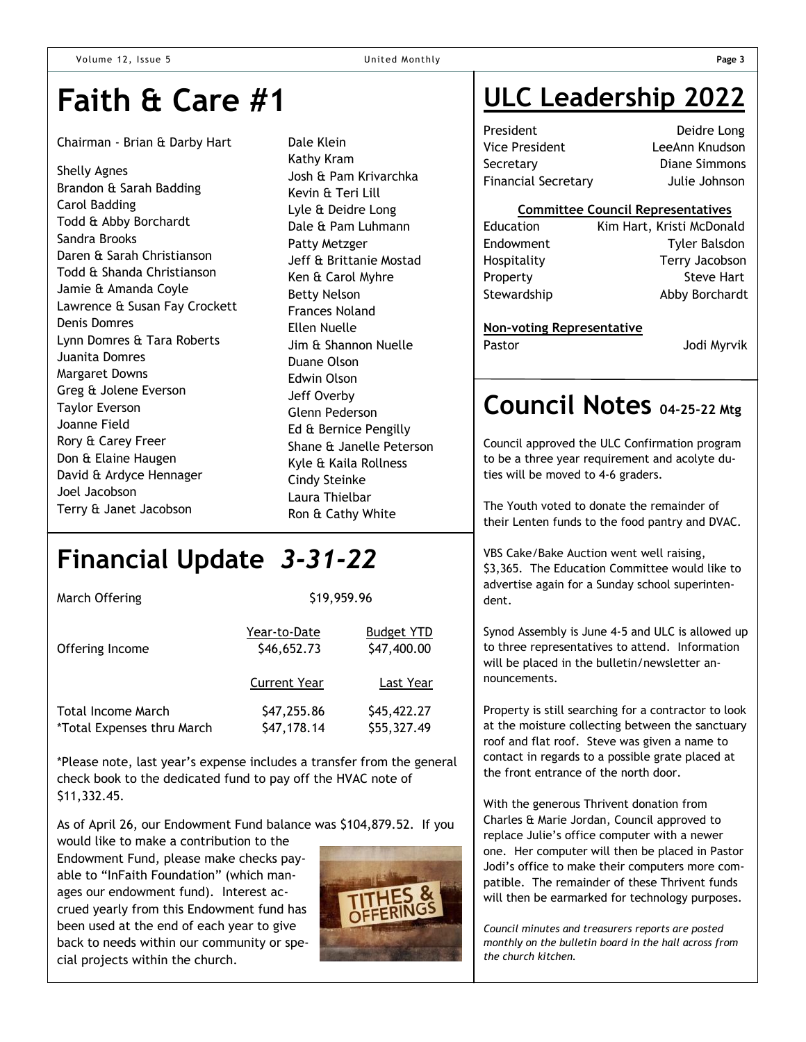## **Faith & Care #1**

#### Chairman - Brian & Darby Hart

Shelly Agnes Brandon & Sarah Badding Carol Badding Todd & Abby Borchardt Sandra Brooks Daren & Sarah Christianson Todd & Shanda Christianson Jamie & Amanda Coyle Lawrence & Susan Fay Crockett Denis Domres Lynn Domres & Tara Roberts Juanita Domres Margaret Downs Greg & Jolene Everson Taylor Everson Joanne Field Rory & Carey Freer Don & Elaine Haugen David & Ardyce Hennager Joel Jacobson Terry & Janet Jacobson

Dale Klein Kathy Kram Josh & Pam Krivarchka Kevin & Teri Lill Lyle & Deidre Long Dale & Pam Luhmann Patty Metzger Jeff & Brittanie Mostad Ken & Carol Myhre Betty Nelson Frances Noland Ellen Nuelle Jim & Shannon Nuelle Duane Olson Edwin Olson Jeff Overby Glenn Pederson Ed & Bernice Pengilly Shane & Janelle Peterson Kyle & Kaila Rollness Cindy Steinke Laura Thielbar Ron & Cathy White

### **Financial Update** *3-31-22*

| March Offering                                   | \$19,959.96                 |                                  |  |  |
|--------------------------------------------------|-----------------------------|----------------------------------|--|--|
| Offering Income                                  | Year-to-Date<br>\$46,652.73 | <b>Budget YTD</b><br>\$47,400.00 |  |  |
|                                                  | <b>Current Year</b>         | Last Year                        |  |  |
| Total Income March<br>*Total Expenses thru March | \$47,255.86<br>\$47,178.14  | \$45,422.27<br>\$55,327.49       |  |  |

\*Please note, last year's expense includes a transfer from the general check book to the dedicated fund to pay off the HVAC note of \$11,332.45.

As of April 26, our Endowment Fund balance was \$104,879.52. If you would like to make a contribution to the

Endowment Fund, please make checks payable to "InFaith Foundation" (which manages our endowment fund). Interest accrued yearly from this Endowment fund has been used at the end of each year to give back to needs within our community or special projects within the church.



### **ULC Leadership 2022**

President Deidre Long Vice President LeeAnn Knudson Secretary Diane Simmons Financial Secretary Julie Johnson

### **Committee Council Representatives**

| Education   | Kim Hart, Kristi McDonald |
|-------------|---------------------------|
| Endowment   | <b>Tyler Balsdon</b>      |
| Hospitality | Terry Jacobson            |
| Property    | <b>Steve Hart</b>         |
| Stewardship | Abby Borchardt            |
|             |                           |

#### **Non-voting Representative**

Pastor **Disk Line Controller Service Controller Service Controller Service Controller Service Controller Service Controller Service Controller Service Controller Service Controller Service Controller Service Controller Ser** 

### **Council Notes 04-25-22 Mtg**

Council approved the ULC Confirmation program to be a three year requirement and acolyte duties will be moved to 4-6 graders.

The Youth voted to donate the remainder of their Lenten funds to the food pantry and DVAC.

VBS Cake/Bake Auction went well raising, \$3,365. The Education Committee would like to advertise again for a Sunday school superintendent.

Synod Assembly is June 4-5 and ULC is allowed up to three representatives to attend. Information will be placed in the bulletin/newsletter announcements.

Property is still searching for a contractor to look at the moisture collecting between the sanctuary roof and flat roof. Steve was given a name to contact in regards to a possible grate placed at the front entrance of the north door.

With the generous Thrivent donation from Charles & Marie Jordan, Council approved to replace Julie's office computer with a newer one. Her computer will then be placed in Pastor Jodi's office to make their computers more compatible. The remainder of these Thrivent funds will then be earmarked for technology purposes.

*Council minutes and treasurers reports are posted monthly on the bulletin board in the hall across from the church kitchen.*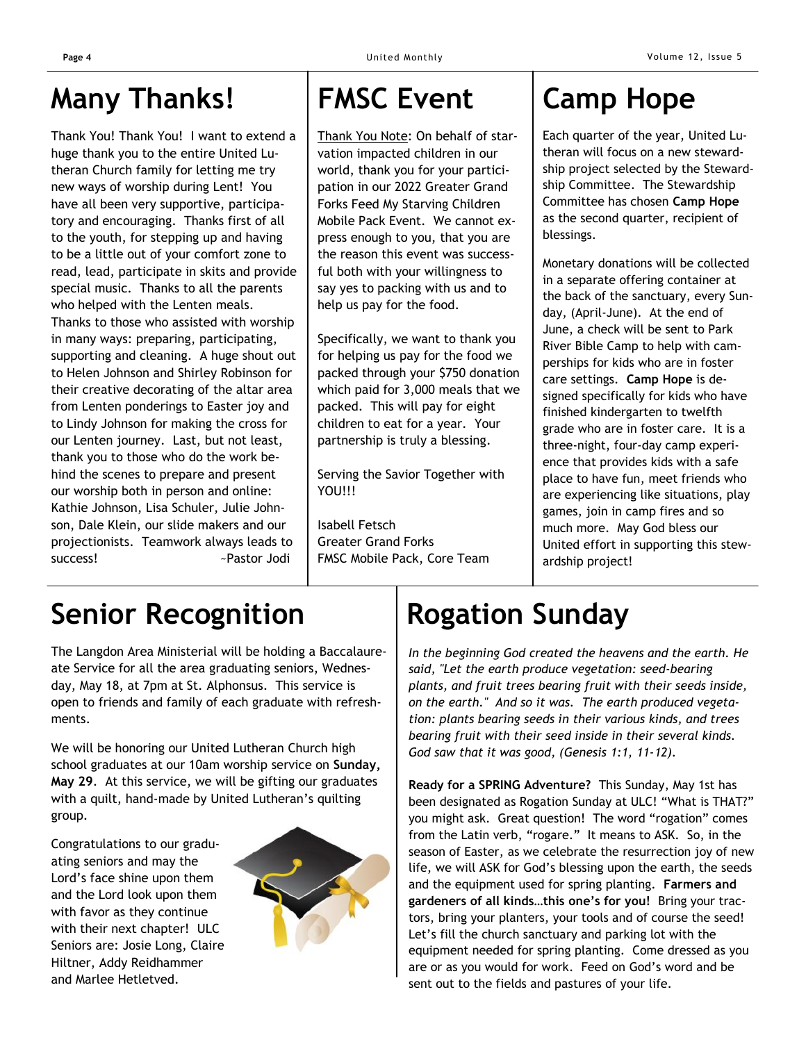### **Many Thanks!**

Thank You! Thank You! I want to extend a huge thank you to the entire United Lutheran Church family for letting me try new ways of worship during Lent! You have all been very supportive, participatory and encouraging. Thanks first of all to the youth, for stepping up and having to be a little out of your comfort zone to read, lead, participate in skits and provide special music. Thanks to all the parents who helped with the Lenten meals. Thanks to those who assisted with worship in many ways: preparing, participating, supporting and cleaning. A huge shout out to Helen Johnson and Shirley Robinson for their creative decorating of the altar area from Lenten ponderings to Easter joy and to Lindy Johnson for making the cross for our Lenten journey. Last, but not least, thank you to those who do the work behind the scenes to prepare and present our worship both in person and online: Kathie Johnson, Lisa Schuler, Julie Johnson, Dale Klein, our slide makers and our projectionists. Teamwork always leads to success! **Example 2** - Pastor Jodi

## **FMSC Event Camp Hope**

Thank You Note: On behalf of starvation impacted children in our world, thank you for your participation in our 2022 Greater Grand Forks Feed My Starving Children Mobile Pack Event. We cannot express enough to you, that you are the reason this event was successful both with your willingness to say yes to packing with us and to help us pay for the food.

Specifically, we want to thank you for helping us pay for the food we packed through your \$750 donation which paid for 3,000 meals that we packed. This will pay for eight children to eat for a year. Your partnership is truly a blessing.

Serving the Savior Together with YOU!!!

Isabell Fetsch Greater Grand Forks FMSC Mobile Pack, Core Team

Each quarter of the year, United Lutheran will focus on a new stewardship project selected by the Stewardship Committee. The Stewardship Committee has chosen **Camp Hope**  as the second quarter, recipient of blessings.

Monetary donations will be collected in a separate offering container at the back of the sanctuary, every Sunday, (April-June). At the end of June, a check will be sent to Park River Bible Camp to help with camperships for kids who are in foster care settings. **Camp Hope** is designed specifically for kids who have finished kindergarten to twelfth grade who are in foster care. It is a three-night, four-day camp experience that provides kids with a safe place to have fun, meet friends who are experiencing like situations, play games, join in camp fires and so much more. May God bless our United effort in supporting this stewardship project!

# **Senior Recognition**

The Langdon Area Ministerial will be holding a Baccalaureate Service for all the area graduating seniors, Wednesday, May 18, at 7pm at St. Alphonsus. This service is open to friends and family of each graduate with refreshments.

We will be honoring our United Lutheran Church high school graduates at our 10am worship service on **Sunday, May 29**. At this service, we will be gifting our graduates with a quilt, hand-made by United Lutheran's quilting group.

Congratulations to our graduating seniors and may the Lord's face shine upon them and the Lord look upon them with favor as they continue with their next chapter! ULC Seniors are: Josie Long, Claire Hiltner, Addy Reidhammer and Marlee Hetletved.



# **Rogation Sunday**

*In the beginning God created the heavens and the earth. He said, "Let the earth produce vegetation: seed-bearing plants, and fruit trees bearing fruit with their seeds inside, on the earth." And so it was. The earth produced vegetation: plants bearing seeds in their various kinds, and trees bearing fruit with their seed inside in their several kinds. God saw that it was good, (Genesis 1:1, 11-12).*

**Ready for a SPRING Adventure?** This Sunday, May 1st has been designated as Rogation Sunday at ULC! "What is THAT?" you might ask. Great question! The word "rogation" comes from the Latin verb, "rogare." It means to ASK. So, in the season of Easter, as we celebrate the resurrection joy of new life, we will ASK for God's blessing upon the earth, the seeds and the equipment used for spring planting. **Farmers and gardeners of all kinds…this one's for you!** Bring your tractors, bring your planters, your tools and of course the seed! Let's fill the church sanctuary and parking lot with the equipment needed for spring planting. Come dressed as you are or as you would for work. Feed on God's word and be sent out to the fields and pastures of your life.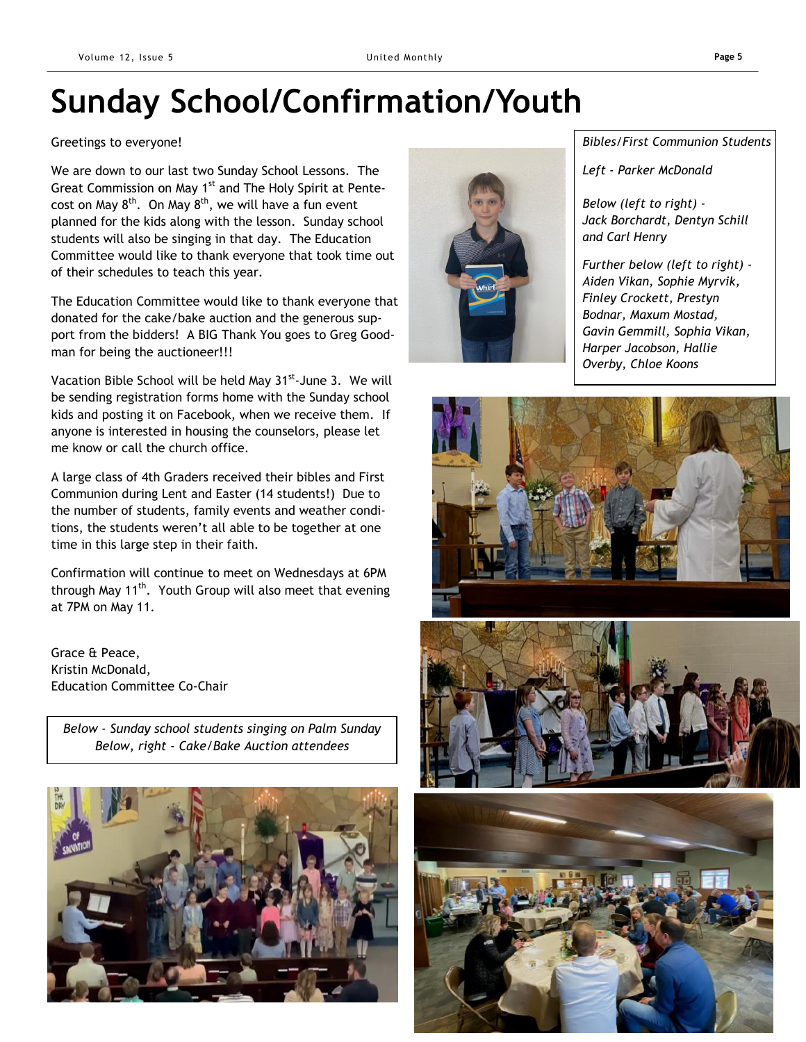# **Sunday School/Confirmation/Youth**

#### Greetings to everyone!

We are down to our last two Sunday School Lessons. The Great Commission on May 1<sup>st</sup> and The Holy Spirit at Pentecost on May  $8^{th}$ . On May  $8^{th}$ , we will have a fun event planned for the kids along with the lesson. Sunday school students will also be singing in that day. The Education Committee would like to thank everyone that took time out of their schedules to teach this year.

The Education Committee would like to thank everyone that donated for the cake/bake auction and the generous support from the bidders! A BIG Thank You goes to Greg Goodman for being the auctioneer!!!

Vacation Bible School will be held May 31<sup>st</sup>-June 3. We will be sending registration forms home with the Sunday school kids and posting it on Facebook, when we receive them. If anyone is interested in housing the counselors, please let me know or call the church office.

A large class of 4th Graders received their bibles and First Communion during Lent and Easter (14 students!) Due to the number of students, family events and weather conditions, the students weren't all able to be together at one time in this large step in their faith.

Confirmation will continue to meet on Wednesdays at 6PM through May 11<sup>th</sup>. Youth Group will also meet that evening at 7PM on May 11.

Grace & Peace, Kristin McDonald, Education Committee Co-Chair

*Below - Sunday school students singing on Palm Sunday Below, right - Cake/Bake Auction attendees*





*Bibles/First Communion Students*

*Left - Parker McDonald*

*Below (left to right) - Jack Borchardt, Dentyn Schill and Carl Henry*

*Further below (left to right) - Aiden Vikan, Sophie Myrvik, Finley Crockett, Prestyn Bodnar, Maxum Mostad, Gavin Gemmill, Sophia Vikan, Harper Jacobson, Hallie Overby, Chloe Koons*





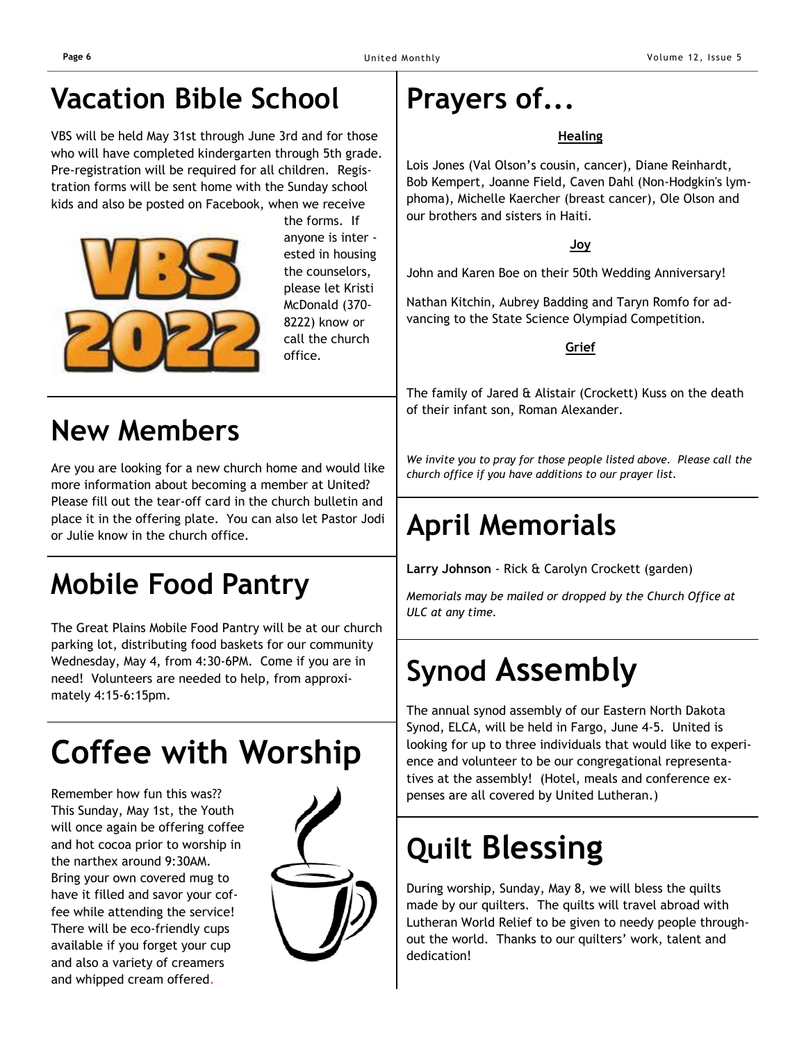### **Vacation Bible School**

VBS will be held May 31st through June 3rd and for those who will have completed kindergarten through 5th grade. Pre-registration will be required for all children. Registration forms will be sent home with the Sunday school kids and also be posted on Facebook, when we receive



 the forms. If anyone is inter ested in housing the counselors, please let Kristi McDonald (370- 8222) know or call the church office.

### **New Members**

Are you are looking for a new church home and would like more information about becoming a member at United? Please fill out the tear-off card in the church bulletin and place it in the offering plate. You can also let Pastor Jodi or Julie know in the church office.

# **Mobile Food Pantry**

The Great Plains Mobile Food Pantry will be at our church parking lot, distributing food baskets for our community Wednesday, May 4, from 4:30-6PM. Come if you are in need! Volunteers are needed to help, from approximately 4:15-6:15pm.

# **Coffee with Worship**

Remember how fun this was?? This Sunday, May 1st, the Youth will once again be offering coffee and hot cocoa prior to worship in the narthex around 9:30AM. Bring your own covered mug to have it filled and savor your coffee while attending the service! There will be eco-friendly cups available if you forget your cup and also a variety of creamers and whipped cream offered.



## **Prayers of...**

### **Healing**

Lois Jones (Val Olson's cousin, cancer), Diane Reinhardt, Bob Kempert, Joanne Field, Caven Dahl (Non-Hodgkin's lymphoma), Michelle Kaercher (breast cancer), Ole Olson and our brothers and sisters in Haiti.

**Joy**

John and Karen Boe on their 50th Wedding Anniversary!

Nathan Kitchin, Aubrey Badding and Taryn Romfo for advancing to the State Science Olympiad Competition.

**Grief**

The family of Jared & Alistair (Crockett) Kuss on the death of their infant son, Roman Alexander.

*We invite you to pray for those people listed above. Please call the church office if you have additions to our prayer list.*

# **April Memorials**

**Larry Johnson** - Rick & Carolyn Crockett (garden)

*Memorials may be mailed or dropped by the Church Office at ULC at any time.*

# **Synod Assembly**

The annual synod assembly of our Eastern North Dakota Synod, ELCA, will be held in Fargo, June 4-5. United is looking for up to three individuals that would like to experience and volunteer to be our congregational representatives at the assembly! (Hotel, meals and conference expenses are all covered by United Lutheran.)

# **Quilt Blessing**

During worship, Sunday, May 8, we will bless the quilts made by our quilters. The quilts will travel abroad with Lutheran World Relief to be given to needy people throughout the world. Thanks to our quilters' work, talent and dedication!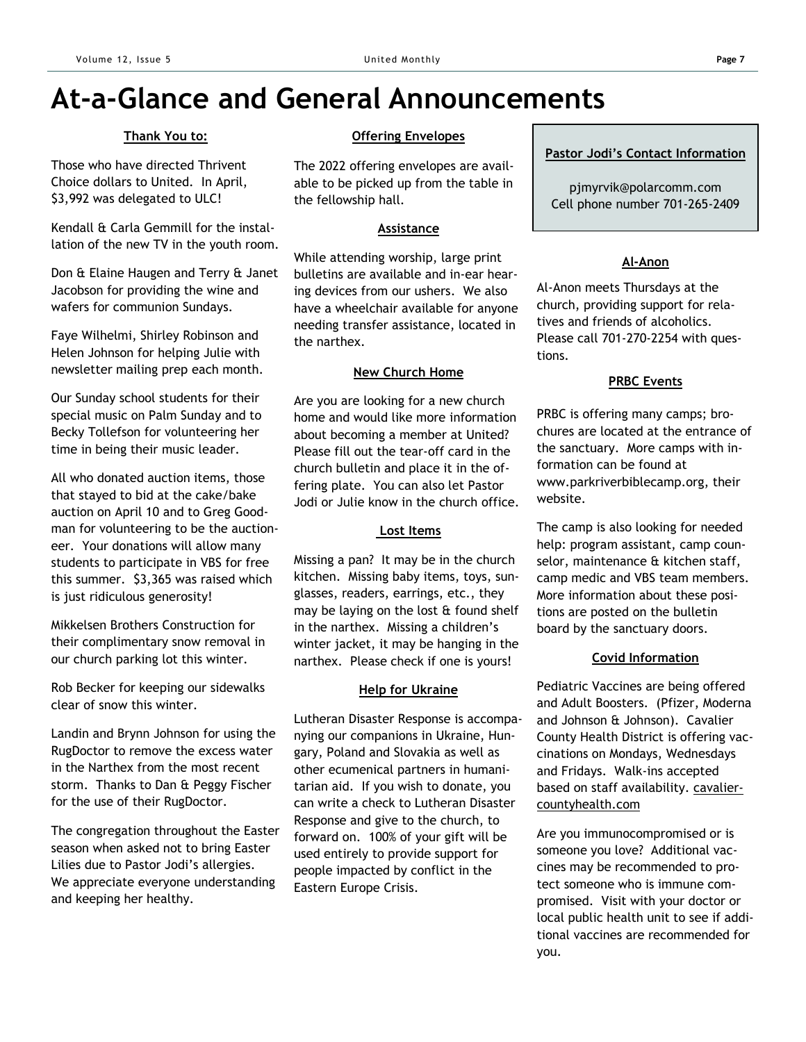### **At-a-Glance and General Announcements**

### **Thank You to:**

Those who have directed Thrivent Choice dollars to United. In April, \$3,992 was delegated to ULC!

Kendall & Carla Gemmill for the installation of the new TV in the youth room.

Don & Elaine Haugen and Terry & Janet Jacobson for providing the wine and wafers for communion Sundays.

Faye Wilhelmi, Shirley Robinson and Helen Johnson for helping Julie with newsletter mailing prep each month.

Our Sunday school students for their special music on Palm Sunday and to Becky Tollefson for volunteering her time in being their music leader.

All who donated auction items, those that stayed to bid at the cake/bake auction on April 10 and to Greg Goodman for volunteering to be the auctioneer. Your donations will allow many students to participate in VBS for free this summer. \$3,365 was raised which is just ridiculous generosity!

Mikkelsen Brothers Construction for their complimentary snow removal in our church parking lot this winter.

Rob Becker for keeping our sidewalks clear of snow this winter.

Landin and Brynn Johnson for using the RugDoctor to remove the excess water in the Narthex from the most recent storm. Thanks to Dan & Peggy Fischer for the use of their RugDoctor.

The congregation throughout the Easter season when asked not to bring Easter Lilies due to Pastor Jodi's allergies. We appreciate everyone understanding and keeping her healthy.

#### **Offering Envelopes**

The 2022 offering envelopes are available to be picked up from the table in the fellowship hall.

#### **Assistance**

While attending worship, large print bulletins are available and in-ear hearing devices from our ushers. We also have a wheelchair available for anyone needing transfer assistance, located in the narthex.

### **New Church Home**

Are you are looking for a new church home and would like more information about becoming a member at United? Please fill out the tear-off card in the church bulletin and place it in the offering plate. You can also let Pastor Jodi or Julie know in the church office.

### **Lost Items**

Missing a pan? It may be in the church kitchen. Missing baby items, toys, sunglasses, readers, earrings, etc., they may be laying on the lost & found shelf in the narthex. Missing a children's winter jacket, it may be hanging in the narthex. Please check if one is yours!

### **Help for Ukraine**

Lutheran Disaster Response is accompanying our companions in Ukraine, Hungary, Poland and Slovakia as well as other ecumenical partners in humanitarian aid. If you wish to donate, you can write a check to Lutheran Disaster Response and give to the church, to forward on. 100% of your gift will be used entirely to provide support for people impacted by conflict in the Eastern Europe Crisis.

#### **Pastor Jodi's Contact Information**

pjmyrvik@polarcomm.com Cell phone number 701-265-2409

### **Al-Anon**

Al-Anon meets Thursdays at the church, providing support for relatives and friends of alcoholics. Please call 701-270-2254 with questions.

### **PRBC Events**

PRBC is offering many camps; brochures are located at the entrance of the sanctuary. More camps with information can be found at www.parkriverbiblecamp.org, their website.

The camp is also looking for needed help: program assistant, camp counselor, maintenance & kitchen staff, camp medic and VBS team members. More information about these positions are posted on the bulletin board by the sanctuary doors.

### **Covid Information**

Pediatric Vaccines are being offered and Adult Boosters. (Pfizer, Moderna and Johnson & Johnson). Cavalier County Health District is offering vaccinations on Mondays, Wednesdays and Fridays. Walk-ins accepted based on staff availability. cavaliercountyhealth.com

Are you immunocompromised or is someone you love? Additional vaccines may be recommended to protect someone who is immune compromised. Visit with your doctor or local public health unit to see if additional vaccines are recommended for you.